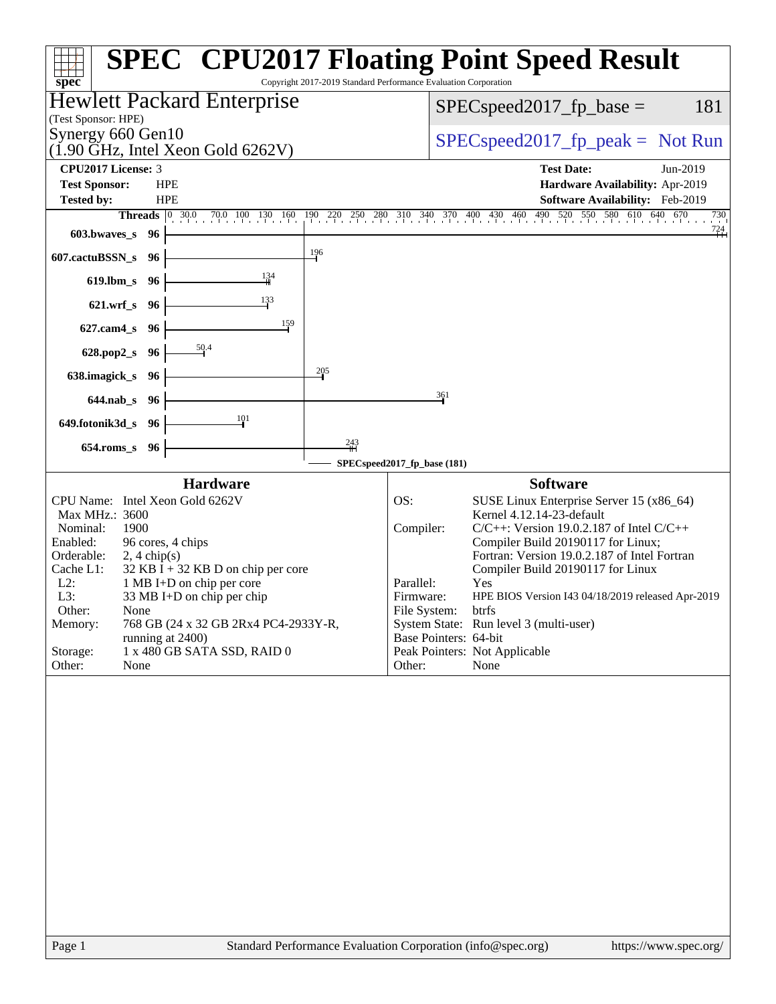| Copyright 2017-2019 Standard Performance Evaluation Corporation<br>spec <sup>®</sup>                                                                                                                                                                                                                                                                                                                                                                     | <b>SPEC<sup>®</sup> CPU2017 Floating Point Speed Result</b>                                                                                                                                                                                                                                                                                                                                                                                                                                                                   |
|----------------------------------------------------------------------------------------------------------------------------------------------------------------------------------------------------------------------------------------------------------------------------------------------------------------------------------------------------------------------------------------------------------------------------------------------------------|-------------------------------------------------------------------------------------------------------------------------------------------------------------------------------------------------------------------------------------------------------------------------------------------------------------------------------------------------------------------------------------------------------------------------------------------------------------------------------------------------------------------------------|
| Hewlett Packard Enterprise<br>(Test Sponsor: HPE)                                                                                                                                                                                                                                                                                                                                                                                                        | 181<br>$SPEC speed2017fp base =$                                                                                                                                                                                                                                                                                                                                                                                                                                                                                              |
| Synergy 660 Gen10<br>$(1.90 \text{ GHz}, \text{Intel Xeon Gold } 6262 \text{V})$                                                                                                                                                                                                                                                                                                                                                                         | $SPEC speed2017rfp peak = Not Run$                                                                                                                                                                                                                                                                                                                                                                                                                                                                                            |
| <b>CPU2017 License: 3</b><br><b>Test Sponsor:</b><br><b>HPE</b><br><b>Tested by:</b><br><b>HPE</b><br><b>Threads</b> $\begin{bmatrix} 0 & 30.0 & 70.0 & 100 \\ 1 & 0 & 10 & 140 \\ 0 & 0 & 0 & 0 \end{bmatrix}$<br>$190$ $220$ $250$ $280$ 3                                                                                                                                                                                                             | <b>Test Date:</b><br>Jun-2019<br>Hardware Availability: Apr-2019<br>Software Availability: Feb-2019<br>310 340 370 400 430 460 490 520 550 580 610 640 670<br>730<br>$\frac{724}{+1}$                                                                                                                                                                                                                                                                                                                                         |
| 603.bwaves_s<br>96<br>$\frac{196}{2}$<br>607.cactuBSSN_s<br>96                                                                                                                                                                                                                                                                                                                                                                                           |                                                                                                                                                                                                                                                                                                                                                                                                                                                                                                                               |
| $\frac{134}{4}$<br>$619$ .lbm_s<br>96                                                                                                                                                                                                                                                                                                                                                                                                                    |                                                                                                                                                                                                                                                                                                                                                                                                                                                                                                                               |
| 133<br>$621.wrf$ s<br>96                                                                                                                                                                                                                                                                                                                                                                                                                                 |                                                                                                                                                                                                                                                                                                                                                                                                                                                                                                                               |
| 159<br>$627$ .cam $4s$<br>96                                                                                                                                                                                                                                                                                                                                                                                                                             |                                                                                                                                                                                                                                                                                                                                                                                                                                                                                                                               |
| 50.4<br>628.pop2_s<br>96                                                                                                                                                                                                                                                                                                                                                                                                                                 |                                                                                                                                                                                                                                                                                                                                                                                                                                                                                                                               |
| $\frac{205}{1}$<br>638.imagick_s<br>-96                                                                                                                                                                                                                                                                                                                                                                                                                  |                                                                                                                                                                                                                                                                                                                                                                                                                                                                                                                               |
| $644$ .nab_s<br>96<br>$\frac{101}{2}$                                                                                                                                                                                                                                                                                                                                                                                                                    | $\frac{361}{2}$                                                                                                                                                                                                                                                                                                                                                                                                                                                                                                               |
| 649.fotonik3d_s<br>-96<br>$\frac{243}{11}$<br>$654$ .roms_s<br>96                                                                                                                                                                                                                                                                                                                                                                                        |                                                                                                                                                                                                                                                                                                                                                                                                                                                                                                                               |
|                                                                                                                                                                                                                                                                                                                                                                                                                                                          | SPECspeed2017_fp_base (181)                                                                                                                                                                                                                                                                                                                                                                                                                                                                                                   |
| <b>Hardware</b><br>CPU Name: Intel Xeon Gold 6262V<br>Max MHz.: 3600<br>Nominal:<br>1900<br>Enabled:<br>96 cores, 4 chips<br>Orderable:<br>$2, 4 \text{ chip}(s)$<br>Cache L1:<br>$32$ KB I + 32 KB D on chip per core<br>$L2$ :<br>1 MB I+D on chip per core<br>L3:<br>33 MB I+D on chip per chip<br>Other:<br>None<br>768 GB (24 x 32 GB 2Rx4 PC4-2933Y-R,<br>Memory:<br>running at 2400)<br>1 x 480 GB SATA SSD, RAID 0<br>Storage:<br>Other:<br>None | <b>Software</b><br>OS:<br>SUSE Linux Enterprise Server 15 (x86_64)<br>Kernel 4.12.14-23-default<br>Compiler:<br>$C/C++$ : Version 19.0.2.187 of Intel $C/C++$<br>Compiler Build 20190117 for Linux;<br>Fortran: Version 19.0.2.187 of Intel Fortran<br>Compiler Build 20190117 for Linux<br>Parallel:<br>Yes<br>Firmware:<br>HPE BIOS Version I43 04/18/2019 released Apr-2019<br>File System:<br>btrfs<br>System State: Run level 3 (multi-user)<br>Base Pointers: 64-bit<br>Peak Pointers: Not Applicable<br>Other:<br>None |
| $P30 \rho$ 1                                                                                                                                                                                                                                                                                                                                                                                                                                             | Standard Performance Evaluation Corporation $(inf_0@sec, org)$<br>https://www.spec.org/                                                                                                                                                                                                                                                                                                                                                                                                                                       |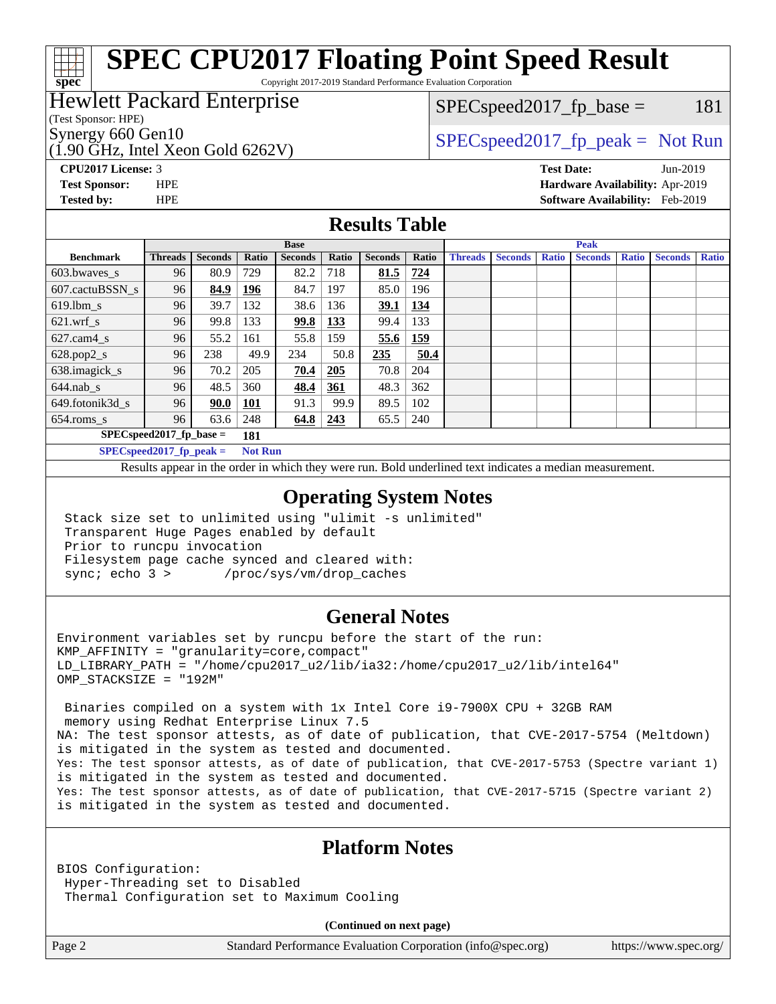Copyright 2017-2019 Standard Performance Evaluation Corporation

#### Hewlett Packard Enterprise

(Test Sponsor: HPE)

**[spec](http://www.spec.org/)**

(1.90 GHz, Intel Xeon Gold 6262V)

 $SPEC speed2017_fp\_base = 181$ 

#### Synergy 660 Gen10<br>  $SPEC speed2017$  [p\_peak = Not Run

**[CPU2017 License:](http://www.spec.org/auto/cpu2017/Docs/result-fields.html#CPU2017License)** 3 **[Test Date:](http://www.spec.org/auto/cpu2017/Docs/result-fields.html#TestDate)** Jun-2019

**[Test Sponsor:](http://www.spec.org/auto/cpu2017/Docs/result-fields.html#TestSponsor)** HPE **[Hardware Availability:](http://www.spec.org/auto/cpu2017/Docs/result-fields.html#HardwareAvailability)** Apr-2019 **[Tested by:](http://www.spec.org/auto/cpu2017/Docs/result-fields.html#Testedby)** HPE **[Software Availability:](http://www.spec.org/auto/cpu2017/Docs/result-fields.html#SoftwareAvailability)** Feb-2019

#### **[Results Table](http://www.spec.org/auto/cpu2017/Docs/result-fields.html#ResultsTable)**

| <b>Base</b>                 |                                                                                                        |                |            |                | <b>Peak</b> |                |            |                |                |              |                |              |                |              |
|-----------------------------|--------------------------------------------------------------------------------------------------------|----------------|------------|----------------|-------------|----------------|------------|----------------|----------------|--------------|----------------|--------------|----------------|--------------|
| <b>Benchmark</b>            | <b>Threads</b>                                                                                         | <b>Seconds</b> | Ratio      | <b>Seconds</b> | Ratio       | <b>Seconds</b> | Ratio      | <b>Threads</b> | <b>Seconds</b> | <b>Ratio</b> | <b>Seconds</b> | <b>Ratio</b> | <b>Seconds</b> | <b>Ratio</b> |
| 603.bwaves_s                | 96                                                                                                     | 80.9           | 729        | 82.2           | 718         | 81.5           | 724        |                |                |              |                |              |                |              |
| 607.cactuBSSN s             | 96                                                                                                     | 84.9           | 196        | 84.7           | 197         | 85.0           | 196        |                |                |              |                |              |                |              |
| $619.1$ bm s                | 96                                                                                                     | 39.7           | 132        | 38.6           | 136         | 39.1           | 134        |                |                |              |                |              |                |              |
| $621.wrf$ s                 | 96                                                                                                     | 99.8           | 133        | 99.8           | 133         | 99.4           | 133        |                |                |              |                |              |                |              |
| $627$ .cam $4$ <sub>s</sub> | 96                                                                                                     | 55.2           | 161        | 55.8           | 159         | 55.6           | <u>159</u> |                |                |              |                |              |                |              |
| $628.pop2_s$                | 96                                                                                                     | 238            | 49.9       | 234            | 50.8        | 235            | 50.4       |                |                |              |                |              |                |              |
| 638.imagick_s               | 96                                                                                                     | 70.2           | 205        | 70.4           | 205         | 70.8           | 204        |                |                |              |                |              |                |              |
| $644$ .nab s                | 96                                                                                                     | 48.5           | 360        | 48.4           | 361         | 48.3           | 362        |                |                |              |                |              |                |              |
| 649.fotonik3d s             | 96                                                                                                     | 90.0           | 101        | 91.3           | 99.9        | 89.5           | 102        |                |                |              |                |              |                |              |
| $654$ .roms s               | 96                                                                                                     | 63.6           | 248        | 64.8           | 243         | 65.5           | 240        |                |                |              |                |              |                |              |
|                             | $SPEC speed2017$ fp base =                                                                             |                | 181        |                |             |                |            |                |                |              |                |              |                |              |
|                             | $CDFC_{\alpha n}$ $\alpha$ $\beta$ $\gamma$ $\beta$ $\beta$ $\gamma$ $\alpha$ $\beta$ $\gamma$ $\beta$ |                | $N \sim 1$ |                |             |                |            |                |                |              |                |              |                |              |

**[SPECspeed2017\\_fp\\_peak =](http://www.spec.org/auto/cpu2017/Docs/result-fields.html#SPECspeed2017fppeak) Not Run**

Results appear in the [order in which they were run.](http://www.spec.org/auto/cpu2017/Docs/result-fields.html#RunOrder) Bold underlined text [indicates a median measurement](http://www.spec.org/auto/cpu2017/Docs/result-fields.html#Median).

#### **[Operating System Notes](http://www.spec.org/auto/cpu2017/Docs/result-fields.html#OperatingSystemNotes)**

 Stack size set to unlimited using "ulimit -s unlimited" Transparent Huge Pages enabled by default Prior to runcpu invocation Filesystem page cache synced and cleared with: sync; echo 3 > /proc/sys/vm/drop\_caches

#### **[General Notes](http://www.spec.org/auto/cpu2017/Docs/result-fields.html#GeneralNotes)**

Environment variables set by runcpu before the start of the run: KMP\_AFFINITY = "granularity=core,compact" LD\_LIBRARY\_PATH = "/home/cpu2017\_u2/lib/ia32:/home/cpu2017\_u2/lib/intel64" OMP\_STACKSIZE = "192M"

 Binaries compiled on a system with 1x Intel Core i9-7900X CPU + 32GB RAM memory using Redhat Enterprise Linux 7.5 NA: The test sponsor attests, as of date of publication, that CVE-2017-5754 (Meltdown) is mitigated in the system as tested and documented. Yes: The test sponsor attests, as of date of publication, that CVE-2017-5753 (Spectre variant 1) is mitigated in the system as tested and documented. Yes: The test sponsor attests, as of date of publication, that CVE-2017-5715 (Spectre variant 2) is mitigated in the system as tested and documented.

#### **[Platform Notes](http://www.spec.org/auto/cpu2017/Docs/result-fields.html#PlatformNotes)**

BIOS Configuration: Hyper-Threading set to Disabled Thermal Configuration set to Maximum Cooling

**(Continued on next page)**

Page 2 Standard Performance Evaluation Corporation [\(info@spec.org\)](mailto:info@spec.org) <https://www.spec.org/>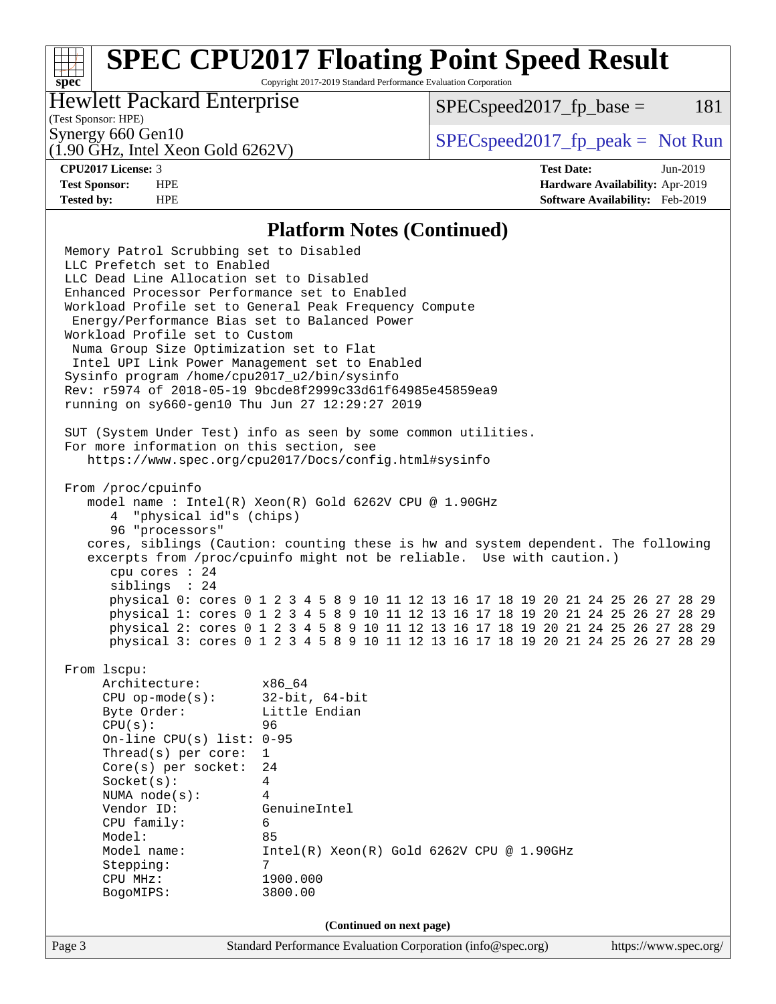Copyright 2017-2019 Standard Performance Evaluation Corporation

#### Hewlett Packard Enterprise

 $SPEC speed2017_fp\_base = 181$ 

#### (Test Sponsor: HPE)

**[spec](http://www.spec.org/)**

(1.90 GHz, Intel Xeon Gold 6262V)

Synergy 660 Gen10  $SPEC speed2017$  fp\_peak = Not Run

**[CPU2017 License:](http://www.spec.org/auto/cpu2017/Docs/result-fields.html#CPU2017License)** 3 **[Test Date:](http://www.spec.org/auto/cpu2017/Docs/result-fields.html#TestDate)** Jun-2019 **[Test Sponsor:](http://www.spec.org/auto/cpu2017/Docs/result-fields.html#TestSponsor)** HPE **[Hardware Availability:](http://www.spec.org/auto/cpu2017/Docs/result-fields.html#HardwareAvailability)** Apr-2019 **[Tested by:](http://www.spec.org/auto/cpu2017/Docs/result-fields.html#Testedby)** HPE **[Software Availability:](http://www.spec.org/auto/cpu2017/Docs/result-fields.html#SoftwareAvailability)** Feb-2019

#### **[Platform Notes \(Continued\)](http://www.spec.org/auto/cpu2017/Docs/result-fields.html#PlatformNotes)**

Page 3 Standard Performance Evaluation Corporation [\(info@spec.org\)](mailto:info@spec.org) <https://www.spec.org/> Memory Patrol Scrubbing set to Disabled LLC Prefetch set to Enabled LLC Dead Line Allocation set to Disabled Enhanced Processor Performance set to Enabled Workload Profile set to General Peak Frequency Compute Energy/Performance Bias set to Balanced Power Workload Profile set to Custom Numa Group Size Optimization set to Flat Intel UPI Link Power Management set to Enabled Sysinfo program /home/cpu2017\_u2/bin/sysinfo Rev: r5974 of 2018-05-19 9bcde8f2999c33d61f64985e45859ea9 running on sy660-gen10 Thu Jun 27 12:29:27 2019 SUT (System Under Test) info as seen by some common utilities. For more information on this section, see <https://www.spec.org/cpu2017/Docs/config.html#sysinfo> From /proc/cpuinfo model name : Intel(R) Xeon(R) Gold 6262V CPU @ 1.90GHz 4 "physical id"s (chips) 96 "processors" cores, siblings (Caution: counting these is hw and system dependent. The following excerpts from /proc/cpuinfo might not be reliable. Use with caution.) cpu cores : 24 siblings : 24 physical 0: cores 0 1 2 3 4 5 8 9 10 11 12 13 16 17 18 19 20 21 24 25 26 27 28 29 physical 1: cores 0 1 2 3 4 5 8 9 10 11 12 13 16 17 18 19 20 21 24 25 26 27 28 29 physical 2: cores 0 1 2 3 4 5 8 9 10 11 12 13 16 17 18 19 20 21 24 25 26 27 28 29 physical 3: cores 0 1 2 3 4 5 8 9 10 11 12 13 16 17 18 19 20 21 24 25 26 27 28 29 From lscpu: Architecture: x86\_64 CPU op-mode(s): 32-bit, 64-bit Byte Order: Little Endian CPU(s): 96 On-line CPU(s) list: 0-95 Thread(s) per core: 1 Core(s) per socket: 24 Socket(s): 4 NUMA node(s): 4 Vendor ID: GenuineIntel CPU family: 6 Model: 85 Model name: Intel(R) Xeon(R) Gold 6262V CPU @ 1.90GHz Stepping: 7 CPU MHz: 1900.000 BogoMIPS: 3800.00 **(Continued on next page)**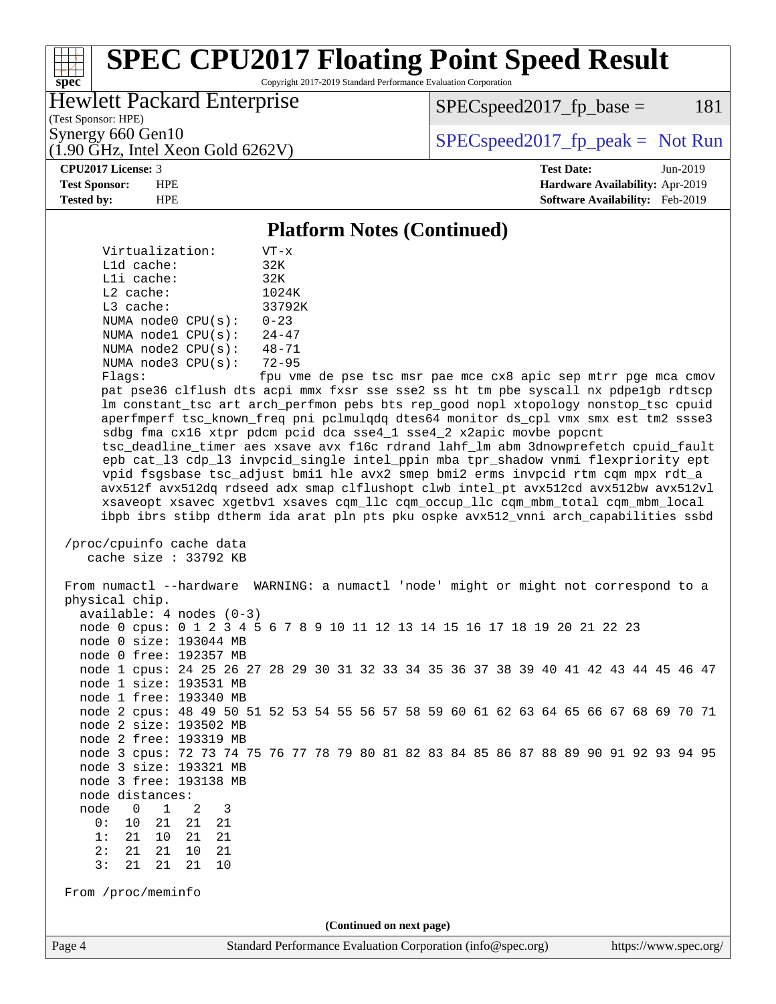Copyright 2017-2019 Standard Performance Evaluation Corporation

#### Hewlett Packard Enterprise

 $SPEC speed2017<sub>fp</sub> base =  $181$$ 

(Test Sponsor: HPE)

(1.90 GHz, Intel Xeon Gold 6262V)

Synergy 660 Gen10  $S^{per}$  [SPECspeed2017\\_fp\\_peak =](http://www.spec.org/auto/cpu2017/Docs/result-fields.html#SPECspeed2017fppeak) Not Run

#### **[CPU2017 License:](http://www.spec.org/auto/cpu2017/Docs/result-fields.html#CPU2017License)** 3 **[Test Date:](http://www.spec.org/auto/cpu2017/Docs/result-fields.html#TestDate)** Jun-2019

**[spec](http://www.spec.org/)**

**[Test Sponsor:](http://www.spec.org/auto/cpu2017/Docs/result-fields.html#TestSponsor)** HPE **[Hardware Availability:](http://www.spec.org/auto/cpu2017/Docs/result-fields.html#HardwareAvailability)** Apr-2019 **[Tested by:](http://www.spec.org/auto/cpu2017/Docs/result-fields.html#Testedby)** HPE **[Software Availability:](http://www.spec.org/auto/cpu2017/Docs/result-fields.html#SoftwareAvailability)** Feb-2019

#### **[Platform Notes \(Continued\)](http://www.spec.org/auto/cpu2017/Docs/result-fields.html#PlatformNotes)**

 Virtualization: VT-x L1d cache: 32K L1i cache: 32K L2 cache: 1024K L3 cache: 33792K NUMA node0 CPU(s): 0-23 NUMA node1 CPU(s): 24-47 NUMA node2 CPU(s): 48-71 NUMA node3 CPU(s): 72-95

Flags: fpu vme de pse tsc msr pae mce cx8 apic sep mtrr pge mca cmov pat pse36 clflush dts acpi mmx fxsr sse sse2 ss ht tm pbe syscall nx pdpe1gb rdtscp lm constant\_tsc art arch\_perfmon pebs bts rep\_good nopl xtopology nonstop\_tsc cpuid aperfmperf tsc\_known\_freq pni pclmulqdq dtes64 monitor ds\_cpl vmx smx est tm2 ssse3 sdbg fma cx16 xtpr pdcm pcid dca sse4\_1 sse4\_2 x2apic movbe popcnt tsc\_deadline\_timer aes xsave avx f16c rdrand lahf\_lm abm 3dnowprefetch cpuid\_fault epb cat\_l3 cdp\_l3 invpcid\_single intel\_ppin mba tpr\_shadow vnmi flexpriority ept vpid fsgsbase tsc\_adjust bmi1 hle avx2 smep bmi2 erms invpcid rtm cqm mpx rdt\_a avx512f avx512dq rdseed adx smap clflushopt clwb intel\_pt avx512cd avx512bw avx512vl xsaveopt xsavec xgetbv1 xsaves cqm\_llc cqm\_occup\_llc cqm\_mbm\_total cqm\_mbm\_local ibpb ibrs stibp dtherm ida arat pln pts pku ospke avx512\_vnni arch\_capabilities ssbd

 /proc/cpuinfo cache data cache size : 33792 KB

 From numactl --hardware WARNING: a numactl 'node' might or might not correspond to a physical chip. available: 4 nodes (0-3) node 0 cpus: 0 1 2 3 4 5 6 7 8 9 10 11 12 13 14 15 16 17 18 19 20 21 22 23 node 0 size: 193044 MB node 0 free: 192357 MB node 1 cpus: 24 25 26 27 28 29 30 31 32 33 34 35 36 37 38 39 40 41 42 43 44 45 46 47 node 1 size: 193531 MB node 1 free: 193340 MB node 2 cpus: 48 49 50 51 52 53 54 55 56 57 58 59 60 61 62 63 64 65 66 67 68 69 70 71 node 2 size: 193502 MB node 2 free: 193319 MB node 3 cpus: 72 73 74 75 76 77 78 79 80 81 82 83 84 85 86 87 88 89 90 91 92 93 94 95 node 3 size: 193321 MB node 3 free: 193138 MB node distances: node 0 1 2 3 0: 10 21 21 21 1: 21 10 21 21 2: 21 21 10 21 3: 21 21 21 10 From /proc/meminfo **(Continued on next page)**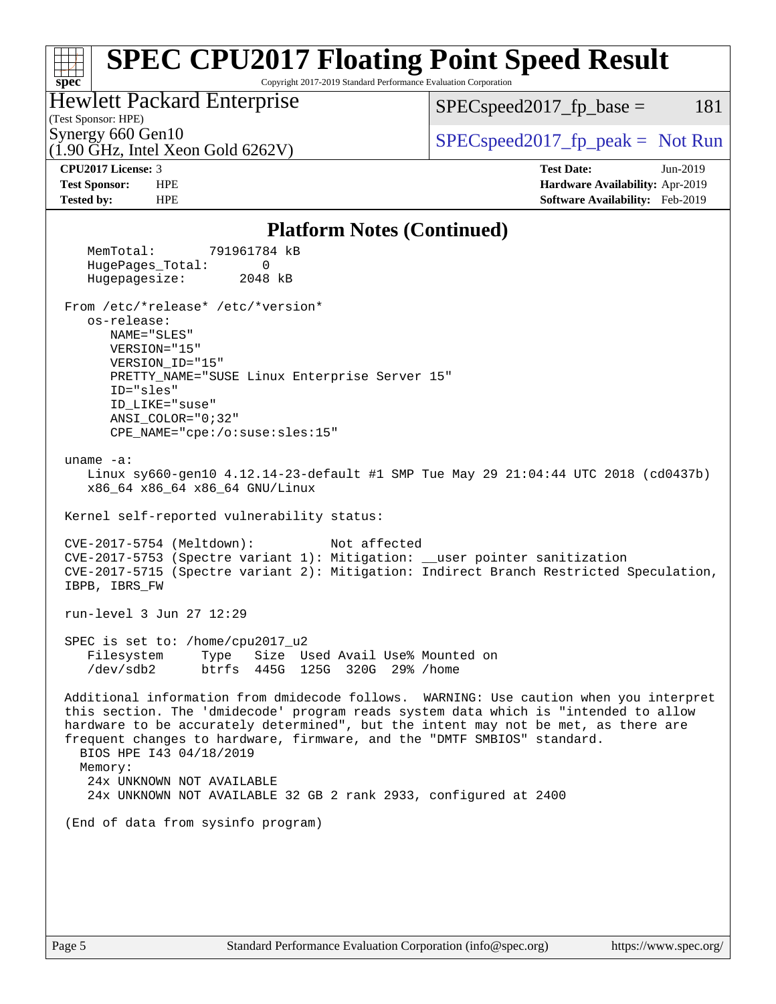#### **[spec](http://www.spec.org/) [SPEC CPU2017 Floating Point Speed Result](http://www.spec.org/auto/cpu2017/Docs/result-fields.html#SPECCPU2017FloatingPointSpeedResult)** Copyright 2017-2019 Standard Performance Evaluation Corporation (Test Sponsor: HPE) Hewlett Packard Enterprise (1.90 GHz, Intel Xeon Gold 6262V) Synergy 660 Gen10  $SPEC speed2017$  fp\_peak = Not Run  $SPEC speed2017_fp\_base = 181$ **[CPU2017 License:](http://www.spec.org/auto/cpu2017/Docs/result-fields.html#CPU2017License)** 3 **[Test Date:](http://www.spec.org/auto/cpu2017/Docs/result-fields.html#TestDate)** Jun-2019 **[Test Sponsor:](http://www.spec.org/auto/cpu2017/Docs/result-fields.html#TestSponsor)** HPE **[Hardware Availability:](http://www.spec.org/auto/cpu2017/Docs/result-fields.html#HardwareAvailability)** Apr-2019 **[Tested by:](http://www.spec.org/auto/cpu2017/Docs/result-fields.html#Testedby)** HPE **[Software Availability:](http://www.spec.org/auto/cpu2017/Docs/result-fields.html#SoftwareAvailability)** Feb-2019 **[Platform Notes \(Continued\)](http://www.spec.org/auto/cpu2017/Docs/result-fields.html#PlatformNotes)** MemTotal: 791961784 kB HugePages\_Total: 0 Hugepagesize: 2048 kB From /etc/\*release\* /etc/\*version\* os-release: NAME="SLES" VERSION="15" VERSION\_ID="15" PRETTY\_NAME="SUSE Linux Enterprise Server 15" ID="sles" ID\_LIKE="suse" ANSI\_COLOR="0;32" CPE\_NAME="cpe:/o:suse:sles:15" uname -a: Linux sy660-gen10 4.12.14-23-default #1 SMP Tue May 29 21:04:44 UTC 2018 (cd0437b) x86\_64 x86\_64 x86\_64 GNU/Linux Kernel self-reported vulnerability status: CVE-2017-5754 (Meltdown): Not affected CVE-2017-5753 (Spectre variant 1): Mitigation: \_\_user pointer sanitization CVE-2017-5715 (Spectre variant 2): Mitigation: Indirect Branch Restricted Speculation, IBPB, IBRS\_FW run-level 3 Jun 27 12:29 SPEC is set to: /home/cpu2017\_u2 Filesystem Type Size Used Avail Use% Mounted on /dev/sdb2 btrfs 445G 125G 320G 29% /home Additional information from dmidecode follows. WARNING: Use caution when you interpret this section. The 'dmidecode' program reads system data which is "intended to allow hardware to be accurately determined", but the intent may not be met, as there are frequent changes to hardware, firmware, and the "DMTF SMBIOS" standard. BIOS HPE I43 04/18/2019 Memory: 24x UNKNOWN NOT AVAILABLE 24x UNKNOWN NOT AVAILABLE 32 GB 2 rank 2933, configured at 2400 (End of data from sysinfo program)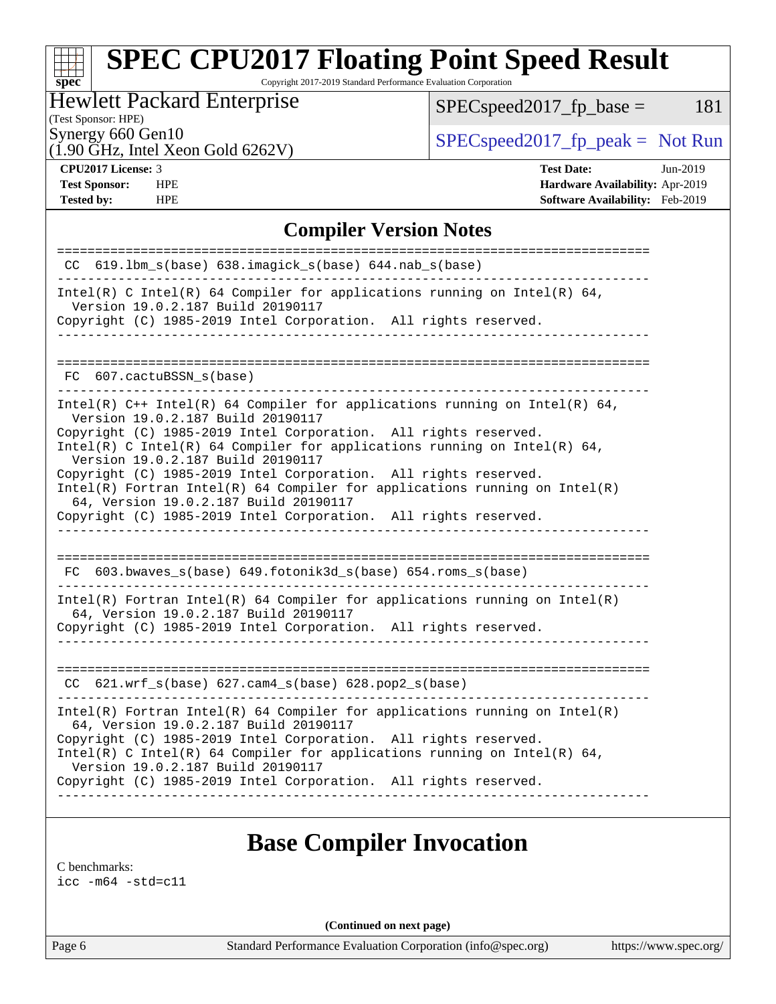Copyright 2017-2019 Standard Performance Evaluation Corporation

#### Hewlett Packard Enterprise

 $SPEC speed2017_fp\_base = 181$ 

### (Test Sponsor: HPE)

(1.90 GHz, Intel Xeon Gold 6262V)

Synergy 660 Gen10<br>  $SPEC speed2017<sub>fr</sub> peak = Not Run$ <br>  $SPEC speed2017<sub>fr</sub> peak = Not Run$ 

**[spec](http://www.spec.org/)**

**[Tested by:](http://www.spec.org/auto/cpu2017/Docs/result-fields.html#Testedby)** HPE **[Software Availability:](http://www.spec.org/auto/cpu2017/Docs/result-fields.html#SoftwareAvailability)** Feb-2019

**[CPU2017 License:](http://www.spec.org/auto/cpu2017/Docs/result-fields.html#CPU2017License)** 3 **[Test Date:](http://www.spec.org/auto/cpu2017/Docs/result-fields.html#TestDate)** Jun-2019 **[Test Sponsor:](http://www.spec.org/auto/cpu2017/Docs/result-fields.html#TestSponsor)** HPE **[Hardware Availability:](http://www.spec.org/auto/cpu2017/Docs/result-fields.html#HardwareAvailability)** Apr-2019

#### **[Compiler Version Notes](http://www.spec.org/auto/cpu2017/Docs/result-fields.html#CompilerVersionNotes)**

| $CC$ 619.1bm_s(base) 638.imagick_s(base) 644.nab_s(base)                                                                                                                                 |
|------------------------------------------------------------------------------------------------------------------------------------------------------------------------------------------|
| Intel(R) C Intel(R) 64 Compiler for applications running on Intel(R) 64,<br>Version 19.0.2.187 Build 20190117                                                                            |
| Copyright (C) 1985-2019 Intel Corporation. All rights reserved.                                                                                                                          |
|                                                                                                                                                                                          |
| FC 607.cactuBSSN s(base)                                                                                                                                                                 |
| Intel(R) $C++$ Intel(R) 64 Compiler for applications running on Intel(R) 64,<br>Version 19.0.2.187 Build 20190117                                                                        |
| Copyright (C) 1985-2019 Intel Corporation. All rights reserved.<br>Intel(R) C Intel(R) 64 Compiler for applications running on Intel(R) 64,<br>Version 19.0.2.187 Build 20190117         |
| Copyright (C) 1985-2019 Intel Corporation. All rights reserved.<br>$Intel(R)$ Fortran Intel(R) 64 Compiler for applications running on Intel(R)<br>64, Version 19.0.2.187 Build 20190117 |
| Copyright (C) 1985-2019 Intel Corporation. All rights reserved.                                                                                                                          |
|                                                                                                                                                                                          |
| FC 603.bwaves_s(base) 649.fotonik3d_s(base) 654.roms_s(base)                                                                                                                             |
| $Intel(R)$ Fortran Intel(R) 64 Compiler for applications running on Intel(R)<br>64, Version 19.0.2.187 Build 20190117                                                                    |
| Copyright (C) 1985-2019 Intel Corporation. All rights reserved.                                                                                                                          |
|                                                                                                                                                                                          |
| $CC$ 621.wrf_s(base) 627.cam4_s(base) 628.pop2_s(base)                                                                                                                                   |
| $Intel(R)$ Fortran Intel(R) 64 Compiler for applications running on Intel(R)<br>64, Version 19.0.2.187 Build 20190117                                                                    |
| Copyright (C) 1985-2019 Intel Corporation. All rights reserved.<br>Intel(R) C Intel(R) 64 Compiler for applications running on Intel(R) 64,<br>Version 19.0.2.187 Build 20190117         |
| Copyright (C) 1985-2019 Intel Corporation. All rights reserved.                                                                                                                          |
|                                                                                                                                                                                          |

#### **[Base Compiler Invocation](http://www.spec.org/auto/cpu2017/Docs/result-fields.html#BaseCompilerInvocation)**

[C benchmarks](http://www.spec.org/auto/cpu2017/Docs/result-fields.html#Cbenchmarks):

[icc -m64 -std=c11](http://www.spec.org/cpu2017/results/res2019q3/cpu2017-20190709-16186.flags.html#user_CCbase_intel_icc_64bit_c11_33ee0cdaae7deeeab2a9725423ba97205ce30f63b9926c2519791662299b76a0318f32ddfffdc46587804de3178b4f9328c46fa7c2b0cd779d7a61945c91cd35)

**(Continued on next page)**

Page 6 Standard Performance Evaluation Corporation [\(info@spec.org\)](mailto:info@spec.org) <https://www.spec.org/>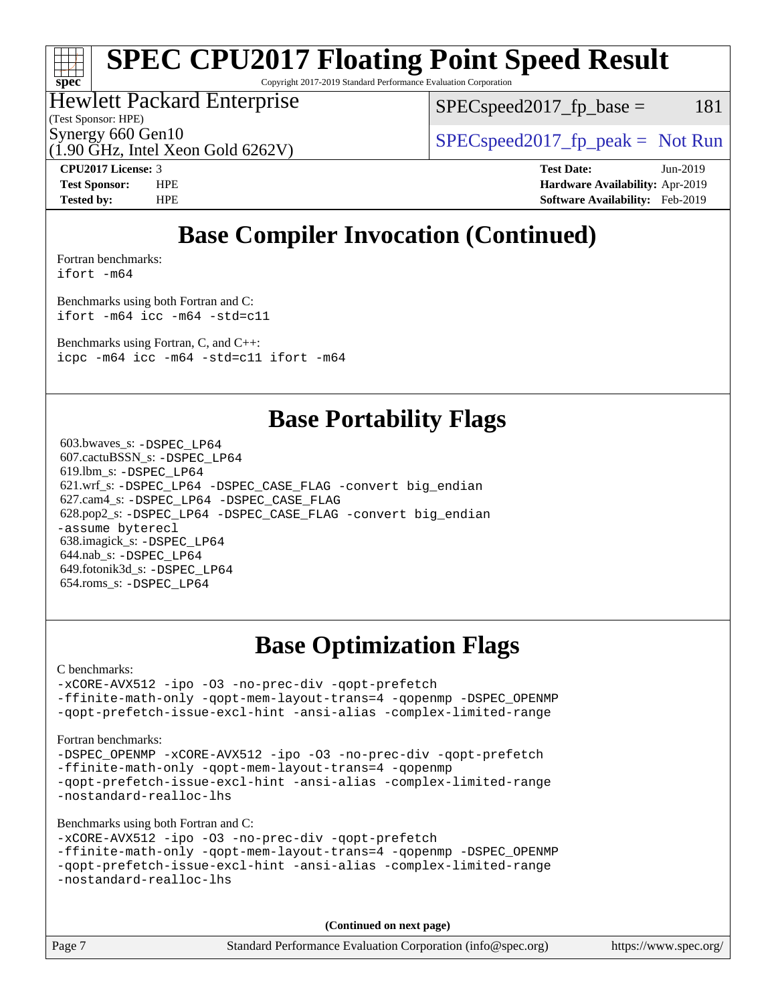# **[spec](http://www.spec.org/)**

# **[SPEC CPU2017 Floating Point Speed Result](http://www.spec.org/auto/cpu2017/Docs/result-fields.html#SPECCPU2017FloatingPointSpeedResult)**

Copyright 2017-2019 Standard Performance Evaluation Corporation

#### Hewlett Packard Enterprise

(1.90 GHz, Intel Xeon Gold 6262V)

(Test Sponsor: HPE)

 $SPEC speed2017_f p\_base = 181$ 

Synergy 660 Gen10  $S^{per}$  [SPECspeed2017\\_fp\\_peak =](http://www.spec.org/auto/cpu2017/Docs/result-fields.html#SPECspeed2017fppeak) Not Run

**[CPU2017 License:](http://www.spec.org/auto/cpu2017/Docs/result-fields.html#CPU2017License)** 3 **[Test Date:](http://www.spec.org/auto/cpu2017/Docs/result-fields.html#TestDate)** Jun-2019 **[Test Sponsor:](http://www.spec.org/auto/cpu2017/Docs/result-fields.html#TestSponsor)** HPE **[Hardware Availability:](http://www.spec.org/auto/cpu2017/Docs/result-fields.html#HardwareAvailability)** Apr-2019 **[Tested by:](http://www.spec.org/auto/cpu2017/Docs/result-fields.html#Testedby)** HPE **[Software Availability:](http://www.spec.org/auto/cpu2017/Docs/result-fields.html#SoftwareAvailability)** Feb-2019

## **[Base Compiler Invocation \(Continued\)](http://www.spec.org/auto/cpu2017/Docs/result-fields.html#BaseCompilerInvocation)**

[Fortran benchmarks](http://www.spec.org/auto/cpu2017/Docs/result-fields.html#Fortranbenchmarks): [ifort -m64](http://www.spec.org/cpu2017/results/res2019q3/cpu2017-20190709-16186.flags.html#user_FCbase_intel_ifort_64bit_24f2bb282fbaeffd6157abe4f878425411749daecae9a33200eee2bee2fe76f3b89351d69a8130dd5949958ce389cf37ff59a95e7a40d588e8d3a57e0c3fd751)

[Benchmarks using both Fortran and C](http://www.spec.org/auto/cpu2017/Docs/result-fields.html#BenchmarksusingbothFortranandC): [ifort -m64](http://www.spec.org/cpu2017/results/res2019q3/cpu2017-20190709-16186.flags.html#user_CC_FCbase_intel_ifort_64bit_24f2bb282fbaeffd6157abe4f878425411749daecae9a33200eee2bee2fe76f3b89351d69a8130dd5949958ce389cf37ff59a95e7a40d588e8d3a57e0c3fd751) [icc -m64 -std=c11](http://www.spec.org/cpu2017/results/res2019q3/cpu2017-20190709-16186.flags.html#user_CC_FCbase_intel_icc_64bit_c11_33ee0cdaae7deeeab2a9725423ba97205ce30f63b9926c2519791662299b76a0318f32ddfffdc46587804de3178b4f9328c46fa7c2b0cd779d7a61945c91cd35)

[Benchmarks using Fortran, C, and C++:](http://www.spec.org/auto/cpu2017/Docs/result-fields.html#BenchmarksusingFortranCandCXX) [icpc -m64](http://www.spec.org/cpu2017/results/res2019q3/cpu2017-20190709-16186.flags.html#user_CC_CXX_FCbase_intel_icpc_64bit_4ecb2543ae3f1412ef961e0650ca070fec7b7afdcd6ed48761b84423119d1bf6bdf5cad15b44d48e7256388bc77273b966e5eb805aefd121eb22e9299b2ec9d9) [icc -m64 -std=c11](http://www.spec.org/cpu2017/results/res2019q3/cpu2017-20190709-16186.flags.html#user_CC_CXX_FCbase_intel_icc_64bit_c11_33ee0cdaae7deeeab2a9725423ba97205ce30f63b9926c2519791662299b76a0318f32ddfffdc46587804de3178b4f9328c46fa7c2b0cd779d7a61945c91cd35) [ifort -m64](http://www.spec.org/cpu2017/results/res2019q3/cpu2017-20190709-16186.flags.html#user_CC_CXX_FCbase_intel_ifort_64bit_24f2bb282fbaeffd6157abe4f878425411749daecae9a33200eee2bee2fe76f3b89351d69a8130dd5949958ce389cf37ff59a95e7a40d588e8d3a57e0c3fd751)

### **[Base Portability Flags](http://www.spec.org/auto/cpu2017/Docs/result-fields.html#BasePortabilityFlags)**

 603.bwaves\_s: [-DSPEC\\_LP64](http://www.spec.org/cpu2017/results/res2019q3/cpu2017-20190709-16186.flags.html#suite_basePORTABILITY603_bwaves_s_DSPEC_LP64) 607.cactuBSSN\_s: [-DSPEC\\_LP64](http://www.spec.org/cpu2017/results/res2019q3/cpu2017-20190709-16186.flags.html#suite_basePORTABILITY607_cactuBSSN_s_DSPEC_LP64) 619.lbm\_s: [-DSPEC\\_LP64](http://www.spec.org/cpu2017/results/res2019q3/cpu2017-20190709-16186.flags.html#suite_basePORTABILITY619_lbm_s_DSPEC_LP64) 621.wrf\_s: [-DSPEC\\_LP64](http://www.spec.org/cpu2017/results/res2019q3/cpu2017-20190709-16186.flags.html#suite_basePORTABILITY621_wrf_s_DSPEC_LP64) [-DSPEC\\_CASE\\_FLAG](http://www.spec.org/cpu2017/results/res2019q3/cpu2017-20190709-16186.flags.html#b621.wrf_s_baseCPORTABILITY_DSPEC_CASE_FLAG) [-convert big\\_endian](http://www.spec.org/cpu2017/results/res2019q3/cpu2017-20190709-16186.flags.html#user_baseFPORTABILITY621_wrf_s_convert_big_endian_c3194028bc08c63ac5d04de18c48ce6d347e4e562e8892b8bdbdc0214820426deb8554edfa529a3fb25a586e65a3d812c835984020483e7e73212c4d31a38223) 627.cam4\_s: [-DSPEC\\_LP64](http://www.spec.org/cpu2017/results/res2019q3/cpu2017-20190709-16186.flags.html#suite_basePORTABILITY627_cam4_s_DSPEC_LP64) [-DSPEC\\_CASE\\_FLAG](http://www.spec.org/cpu2017/results/res2019q3/cpu2017-20190709-16186.flags.html#b627.cam4_s_baseCPORTABILITY_DSPEC_CASE_FLAG) 628.pop2\_s: [-DSPEC\\_LP64](http://www.spec.org/cpu2017/results/res2019q3/cpu2017-20190709-16186.flags.html#suite_basePORTABILITY628_pop2_s_DSPEC_LP64) [-DSPEC\\_CASE\\_FLAG](http://www.spec.org/cpu2017/results/res2019q3/cpu2017-20190709-16186.flags.html#b628.pop2_s_baseCPORTABILITY_DSPEC_CASE_FLAG) [-convert big\\_endian](http://www.spec.org/cpu2017/results/res2019q3/cpu2017-20190709-16186.flags.html#user_baseFPORTABILITY628_pop2_s_convert_big_endian_c3194028bc08c63ac5d04de18c48ce6d347e4e562e8892b8bdbdc0214820426deb8554edfa529a3fb25a586e65a3d812c835984020483e7e73212c4d31a38223) [-assume byterecl](http://www.spec.org/cpu2017/results/res2019q3/cpu2017-20190709-16186.flags.html#user_baseFPORTABILITY628_pop2_s_assume_byterecl_7e47d18b9513cf18525430bbf0f2177aa9bf368bc7a059c09b2c06a34b53bd3447c950d3f8d6c70e3faf3a05c8557d66a5798b567902e8849adc142926523472) 638.imagick\_s: [-DSPEC\\_LP64](http://www.spec.org/cpu2017/results/res2019q3/cpu2017-20190709-16186.flags.html#suite_basePORTABILITY638_imagick_s_DSPEC_LP64) 644.nab\_s: [-DSPEC\\_LP64](http://www.spec.org/cpu2017/results/res2019q3/cpu2017-20190709-16186.flags.html#suite_basePORTABILITY644_nab_s_DSPEC_LP64) 649.fotonik3d\_s: [-DSPEC\\_LP64](http://www.spec.org/cpu2017/results/res2019q3/cpu2017-20190709-16186.flags.html#suite_basePORTABILITY649_fotonik3d_s_DSPEC_LP64) 654.roms\_s: [-DSPEC\\_LP64](http://www.spec.org/cpu2017/results/res2019q3/cpu2017-20190709-16186.flags.html#suite_basePORTABILITY654_roms_s_DSPEC_LP64)

# **[Base Optimization Flags](http://www.spec.org/auto/cpu2017/Docs/result-fields.html#BaseOptimizationFlags)**

[C benchmarks](http://www.spec.org/auto/cpu2017/Docs/result-fields.html#Cbenchmarks):

```
-xCORE-AVX512 -ipo -O3 -no-prec-div -qopt-prefetch
-ffinite-math-only -qopt-mem-layout-trans=4 -qopenmp -DSPEC_OPENMP
-qopt-prefetch-issue-excl-hint -ansi-alias -complex-limited-range
```
#### [Fortran benchmarks](http://www.spec.org/auto/cpu2017/Docs/result-fields.html#Fortranbenchmarks):

[-DSPEC\\_OPENMP](http://www.spec.org/cpu2017/results/res2019q3/cpu2017-20190709-16186.flags.html#suite_FCbase_DSPEC_OPENMP) [-xCORE-AVX512](http://www.spec.org/cpu2017/results/res2019q3/cpu2017-20190709-16186.flags.html#user_FCbase_f-xCORE-AVX512) [-ipo](http://www.spec.org/cpu2017/results/res2019q3/cpu2017-20190709-16186.flags.html#user_FCbase_f-ipo) [-O3](http://www.spec.org/cpu2017/results/res2019q3/cpu2017-20190709-16186.flags.html#user_FCbase_f-O3) [-no-prec-div](http://www.spec.org/cpu2017/results/res2019q3/cpu2017-20190709-16186.flags.html#user_FCbase_f-no-prec-div) [-qopt-prefetch](http://www.spec.org/cpu2017/results/res2019q3/cpu2017-20190709-16186.flags.html#user_FCbase_f-qopt-prefetch) [-ffinite-math-only](http://www.spec.org/cpu2017/results/res2019q3/cpu2017-20190709-16186.flags.html#user_FCbase_f_finite_math_only_cb91587bd2077682c4b38af759c288ed7c732db004271a9512da14a4f8007909a5f1427ecbf1a0fb78ff2a814402c6114ac565ca162485bbcae155b5e4258871) [-qopt-mem-layout-trans=4](http://www.spec.org/cpu2017/results/res2019q3/cpu2017-20190709-16186.flags.html#user_FCbase_f-qopt-mem-layout-trans_fa39e755916c150a61361b7846f310bcdf6f04e385ef281cadf3647acec3f0ae266d1a1d22d972a7087a248fd4e6ca390a3634700869573d231a252c784941a8) [-qopenmp](http://www.spec.org/cpu2017/results/res2019q3/cpu2017-20190709-16186.flags.html#user_FCbase_qopenmp_16be0c44f24f464004c6784a7acb94aca937f053568ce72f94b139a11c7c168634a55f6653758ddd83bcf7b8463e8028bb0b48b77bcddc6b78d5d95bb1df2967) [-qopt-prefetch-issue-excl-hint](http://www.spec.org/cpu2017/results/res2019q3/cpu2017-20190709-16186.flags.html#user_FCbase_f-qopt-prefetch-issue-excl-hint) [-ansi-alias](http://www.spec.org/cpu2017/results/res2019q3/cpu2017-20190709-16186.flags.html#user_FCbase_f-ansi-alias) [-complex-limited-range](http://www.spec.org/cpu2017/results/res2019q3/cpu2017-20190709-16186.flags.html#user_FCbase_f-complex-limited-range) [-nostandard-realloc-lhs](http://www.spec.org/cpu2017/results/res2019q3/cpu2017-20190709-16186.flags.html#user_FCbase_f_2003_std_realloc_82b4557e90729c0f113870c07e44d33d6f5a304b4f63d4c15d2d0f1fab99f5daaed73bdb9275d9ae411527f28b936061aa8b9c8f2d63842963b95c9dd6426b8a)

[Benchmarks using both Fortran and C](http://www.spec.org/auto/cpu2017/Docs/result-fields.html#BenchmarksusingbothFortranandC):

```
-xCORE-AVX512 -ipo -O3 -no-prec-div -qopt-prefetch
-ffinite-math-only -qopt-mem-layout-trans=4 -qopenmp -DSPEC_OPENMP
-qopt-prefetch-issue-excl-hint -ansi-alias -complex-limited-range
-nostandard-realloc-lhs
```
**(Continued on next page)**